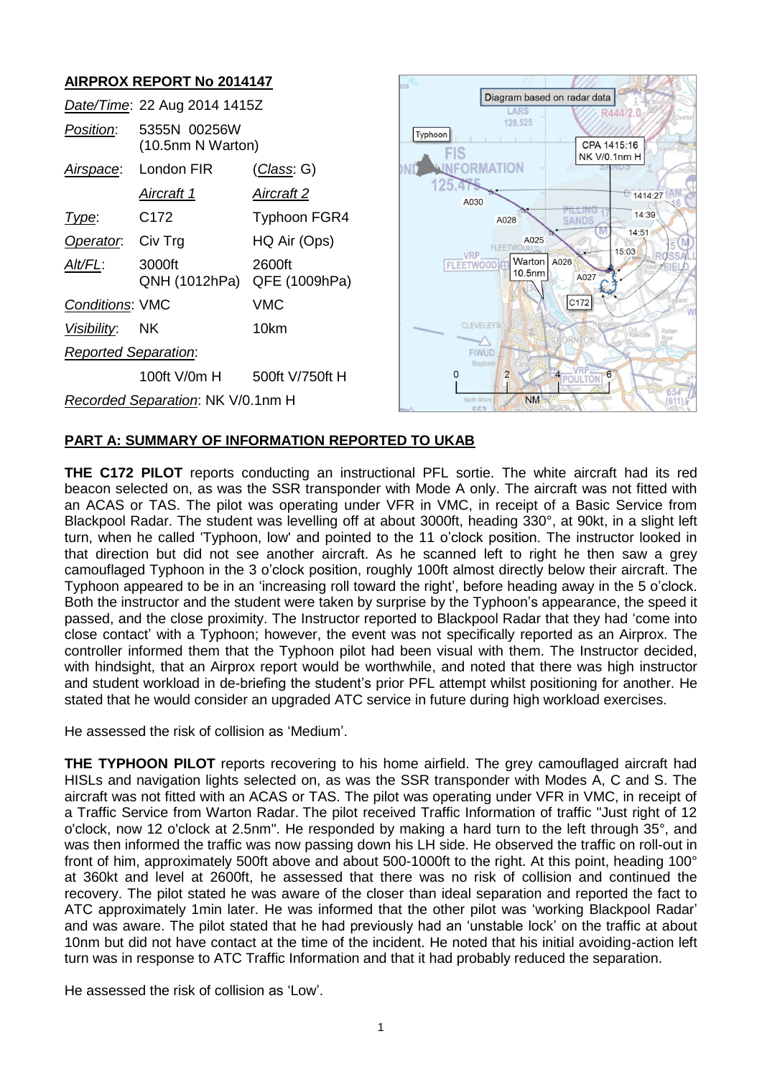# **AIRPROX REPORT No 2014147**

|                                   | Date/Time: 22 Aug 2014 1415Z      |                         |
|-----------------------------------|-----------------------------------|-------------------------|
| <i>Position:</i>                  | 5355N 00256W<br>(10.5nm N Warton) |                         |
| Airspace:                         | London FIR                        | (Class: G)              |
|                                   | Aircraft 1                        | Aircraft 2              |
| Type:                             | C <sub>172</sub>                  | <b>Typhoon FGR4</b>     |
| Operator.                         | Civ Trg                           | HQ Air (Ops)            |
| Alt/FL:                           | 3000ft<br>QNH (1012hPa)           | 2600ft<br>QFE (1009hPa) |
| <b>Conditions: VMC</b>            |                                   | VMC                     |
| <i>Visibility</i> :               | <b>NK</b>                         | 10km                    |
| <b>Reported Separation:</b>       |                                   |                         |
|                                   | 100ft V/0m H                      | 500ft V/750ft H         |
| Recorded Separation: NK V/0.1nm H |                                   |                         |



### **PART A: SUMMARY OF INFORMATION REPORTED TO UKAB**

**THE C172 PILOT** reports conducting an instructional PFL sortie. The white aircraft had its red beacon selected on, as was the SSR transponder with Mode A only. The aircraft was not fitted with an ACAS or TAS. The pilot was operating under VFR in VMC, in receipt of a Basic Service from Blackpool Radar. The student was levelling off at about 3000ft, heading 330°, at 90kt, in a slight left turn, when he called 'Typhoon, low' and pointed to the 11 o'clock position. The instructor looked in that direction but did not see another aircraft. As he scanned left to right he then saw a grey camouflaged Typhoon in the 3 o'clock position, roughly 100ft almost directly below their aircraft. The Typhoon appeared to be in an 'increasing roll toward the right', before heading away in the 5 o'clock. Both the instructor and the student were taken by surprise by the Typhoon's appearance, the speed it passed, and the close proximity. The Instructor reported to Blackpool Radar that they had 'come into close contact' with a Typhoon; however, the event was not specifically reported as an Airprox. The controller informed them that the Typhoon pilot had been visual with them. The Instructor decided, with hindsight, that an Airprox report would be worthwhile, and noted that there was high instructor and student workload in de-briefing the student's prior PFL attempt whilst positioning for another. He stated that he would consider an upgraded ATC service in future during high workload exercises.

He assessed the risk of collision as 'Medium'.

**THE TYPHOON PILOT** reports recovering to his home airfield. The grey camouflaged aircraft had HISLs and navigation lights selected on, as was the SSR transponder with Modes A, C and S. The aircraft was not fitted with an ACAS or TAS. The pilot was operating under VFR in VMC, in receipt of a Traffic Service from Warton Radar. The pilot received Traffic Information of traffic "Just right of 12 o'clock, now 12 o'clock at 2.5nm". He responded by making a hard turn to the left through 35°, and was then informed the traffic was now passing down his LH side. He observed the traffic on roll-out in front of him, approximately 500ft above and about 500-1000ft to the right. At this point, heading 100° at 360kt and level at 2600ft, he assessed that there was no risk of collision and continued the recovery. The pilot stated he was aware of the closer than ideal separation and reported the fact to ATC approximately 1min later. He was informed that the other pilot was 'working Blackpool Radar' and was aware. The pilot stated that he had previously had an 'unstable lock' on the traffic at about 10nm but did not have contact at the time of the incident. He noted that his initial avoiding-action left turn was in response to ATC Traffic Information and that it had probably reduced the separation.

He assessed the risk of collision as 'Low'.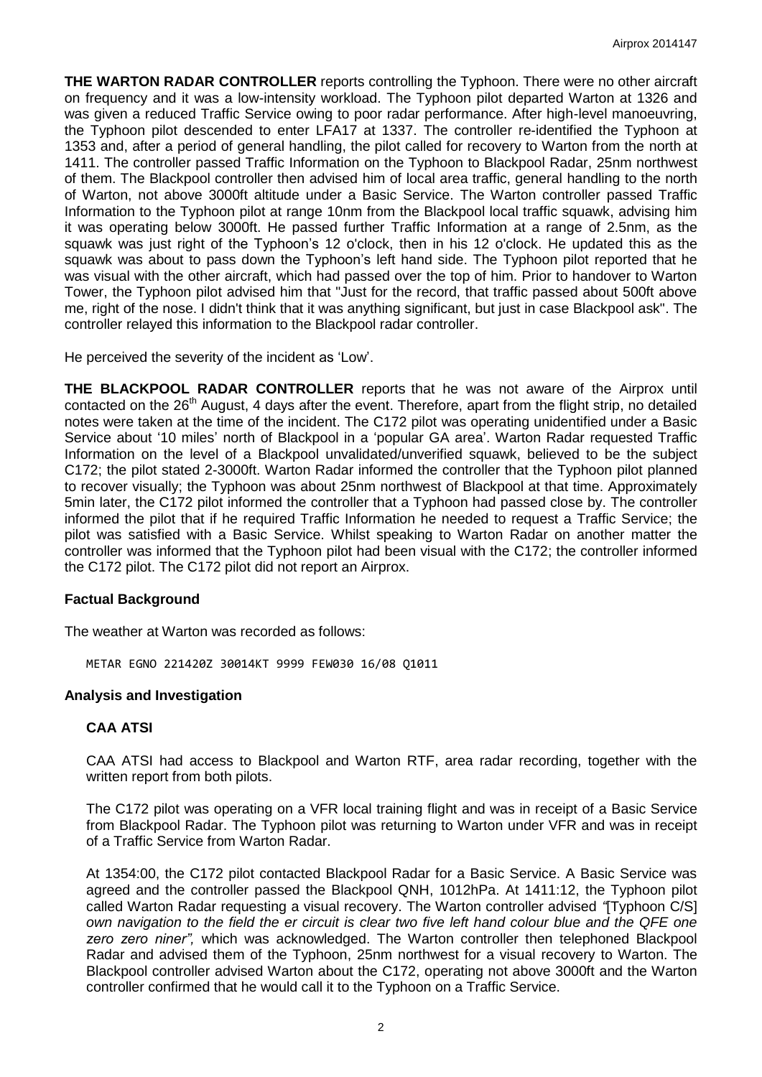**THE WARTON RADAR CONTROLLER** reports controlling the Typhoon. There were no other aircraft on frequency and it was a low-intensity workload. The Typhoon pilot departed Warton at 1326 and was given a reduced Traffic Service owing to poor radar performance. After high-level manoeuvring, the Typhoon pilot descended to enter LFA17 at 1337. The controller re-identified the Typhoon at 1353 and, after a period of general handling, the pilot called for recovery to Warton from the north at 1411. The controller passed Traffic Information on the Typhoon to Blackpool Radar, 25nm northwest of them. The Blackpool controller then advised him of local area traffic, general handling to the north of Warton, not above 3000ft altitude under a Basic Service. The Warton controller passed Traffic Information to the Typhoon pilot at range 10nm from the Blackpool local traffic squawk, advising him it was operating below 3000ft. He passed further Traffic Information at a range of 2.5nm, as the squawk was just right of the Typhoon's 12 o'clock, then in his 12 o'clock. He updated this as the squawk was about to pass down the Typhoon's left hand side. The Typhoon pilot reported that he was visual with the other aircraft, which had passed over the top of him. Prior to handover to Warton Tower, the Typhoon pilot advised him that "Just for the record, that traffic passed about 500ft above me, right of the nose. I didn't think that it was anything significant, but just in case Blackpool ask". The controller relayed this information to the Blackpool radar controller.

He perceived the severity of the incident as 'Low'.

**THE BLACKPOOL RADAR CONTROLLER** reports that he was not aware of the Airprox until contacted on the 26<sup>th</sup> August, 4 days after the event. Therefore, apart from the flight strip, no detailed notes were taken at the time of the incident. The C172 pilot was operating unidentified under a Basic Service about '10 miles' north of Blackpool in a 'popular GA area'. Warton Radar requested Traffic Information on the level of a Blackpool unvalidated/unverified squawk, believed to be the subject C172; the pilot stated 2-3000ft. Warton Radar informed the controller that the Typhoon pilot planned to recover visually; the Typhoon was about 25nm northwest of Blackpool at that time. Approximately 5min later, the C172 pilot informed the controller that a Typhoon had passed close by. The controller informed the pilot that if he required Traffic Information he needed to request a Traffic Service; the pilot was satisfied with a Basic Service. Whilst speaking to Warton Radar on another matter the controller was informed that the Typhoon pilot had been visual with the C172; the controller informed the C172 pilot. The C172 pilot did not report an Airprox.

#### **Factual Background**

The weather at Warton was recorded as follows:

METAR EGNO 221420Z 30014KT 9999 FEW030 16/08 Q1011

#### **Analysis and Investigation**

#### **CAA ATSI**

CAA ATSI had access to Blackpool and Warton RTF, area radar recording, together with the written report from both pilots.

The C172 pilot was operating on a VFR local training flight and was in receipt of a Basic Service from Blackpool Radar. The Typhoon pilot was returning to Warton under VFR and was in receipt of a Traffic Service from Warton Radar.

At 1354:00, the C172 pilot contacted Blackpool Radar for a Basic Service. A Basic Service was agreed and the controller passed the Blackpool QNH, 1012hPa. At 1411:12, the Typhoon pilot called Warton Radar requesting a visual recovery. The Warton controller advised *"*[Typhoon C/S] *own navigation to the field the er circuit is clear two five left hand colour blue and the QFE one zero zero niner",* which was acknowledged. The Warton controller then telephoned Blackpool Radar and advised them of the Typhoon, 25nm northwest for a visual recovery to Warton. The Blackpool controller advised Warton about the C172, operating not above 3000ft and the Warton controller confirmed that he would call it to the Typhoon on a Traffic Service.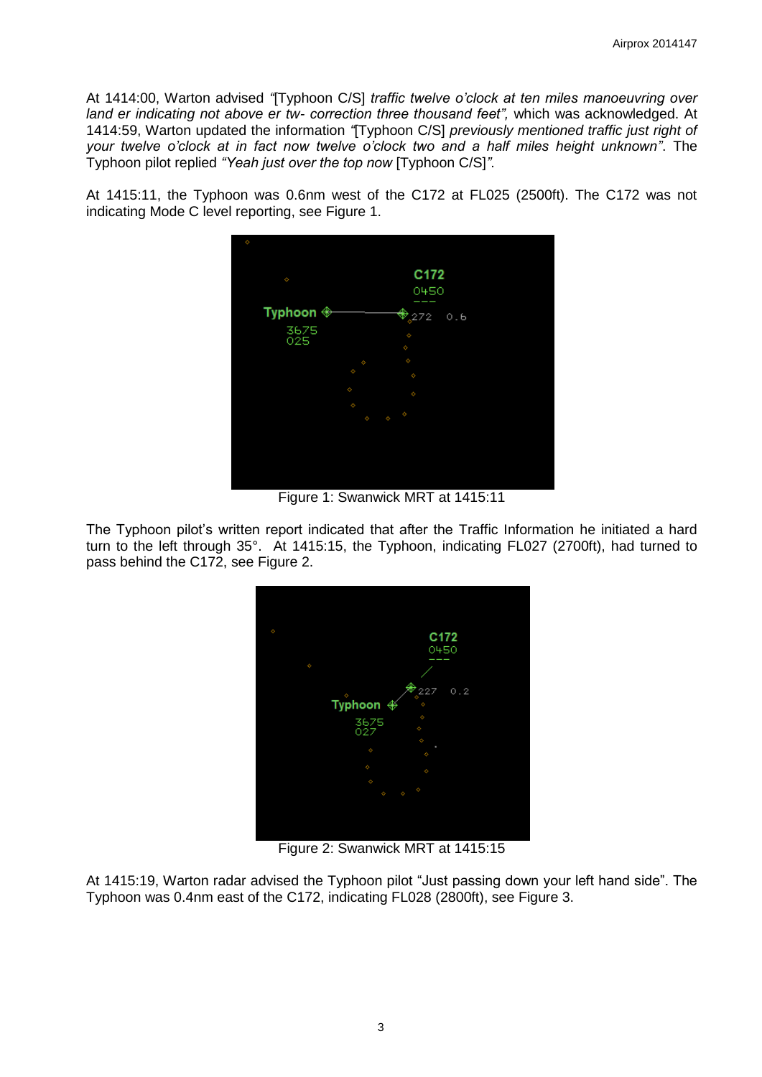At 1414:00, Warton advised *"*[Typhoon C/S] *traffic twelve o'clock at ten miles manoeuvring over land er indicating not above er tw- correction three thousand feet",* which was acknowledged. At 1414:59, Warton updated the information *"*[Typhoon C/S] *previously mentioned traffic just right of your twelve o'clock at in fact now twelve o'clock two and a half miles height unknown"*. The Typhoon pilot replied *"Yeah just over the top now* [Typhoon C/S]*"*.

At 1415:11, the Typhoon was 0.6nm west of the C172 at FL025 (2500ft). The C172 was not indicating Mode C level reporting, see Figure 1.



Figure 1: Swanwick MRT at 1415:11

The Typhoon pilot's written report indicated that after the Traffic Information he initiated a hard turn to the left through 35°. At 1415:15, the Typhoon, indicating FL027 (2700ft), had turned to pass behind the C172, see Figure 2.



Figure 2: Swanwick MRT at 1415:15

At 1415:19, Warton radar advised the Typhoon pilot "Just passing down your left hand side". The Typhoon was 0.4nm east of the C172, indicating FL028 (2800ft), see Figure 3.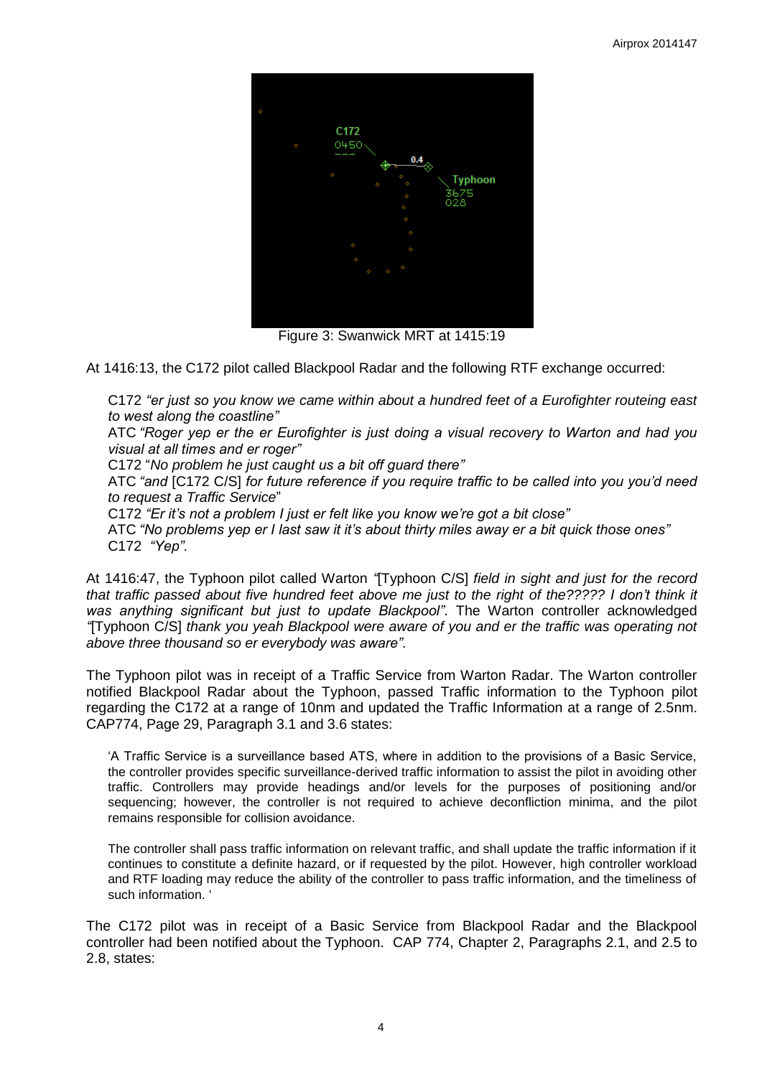

Figure 3: Swanwick MRT at 1415:19

At 1416:13, the C172 pilot called Blackpool Radar and the following RTF exchange occurred:

C172 *"er just so you know we came within about a hundred feet of a Eurofighter routeing east to west along the coastline"*

ATC *"Roger yep er the er Eurofighter is just doing a visual recovery to Warton and had you visual at all times and er roger"*

C172 "*No problem he just caught us a bit off guard there"*

ATC *"and* [C172 C/S] *for future reference if you require traffic to be called into you you'd need to request a Traffic Service*"

C172 *"Er it's not a problem I just er felt like you know we're got a bit close"*

ATC *"No problems yep er I last saw it it's about thirty miles away er a bit quick those ones"* C172 *"Yep"*.

At 1416:47, the Typhoon pilot called Warton *"*[Typhoon C/S] *field in sight and just for the record*  that traffic passed about five hundred feet above me just to the right of the????? I don't think it *was anything significant but just to update Blackpool"*. The Warton controller acknowledged *"*[Typhoon C/S] *thank you yeah Blackpool were aware of you and er the traffic was operating not above three thousand so er everybody was aware"*.

The Typhoon pilot was in receipt of a Traffic Service from Warton Radar. The Warton controller notified Blackpool Radar about the Typhoon, passed Traffic information to the Typhoon pilot regarding the C172 at a range of 10nm and updated the Traffic Information at a range of 2.5nm. CAP774, Page 29, Paragraph 3.1 and 3.6 states:

'A Traffic Service is a surveillance based ATS, where in addition to the provisions of a Basic Service, the controller provides specific surveillance-derived traffic information to assist the pilot in avoiding other traffic. Controllers may provide headings and/or levels for the purposes of positioning and/or sequencing; however, the controller is not required to achieve deconfliction minima, and the pilot remains responsible for collision avoidance.

The controller shall pass traffic information on relevant traffic, and shall update the traffic information if it continues to constitute a definite hazard, or if requested by the pilot. However, high controller workload and RTF loading may reduce the ability of the controller to pass traffic information, and the timeliness of such information. '

The C172 pilot was in receipt of a Basic Service from Blackpool Radar and the Blackpool controller had been notified about the Typhoon. CAP 774, Chapter 2, Paragraphs 2.1, and 2.5 to 2.8, states: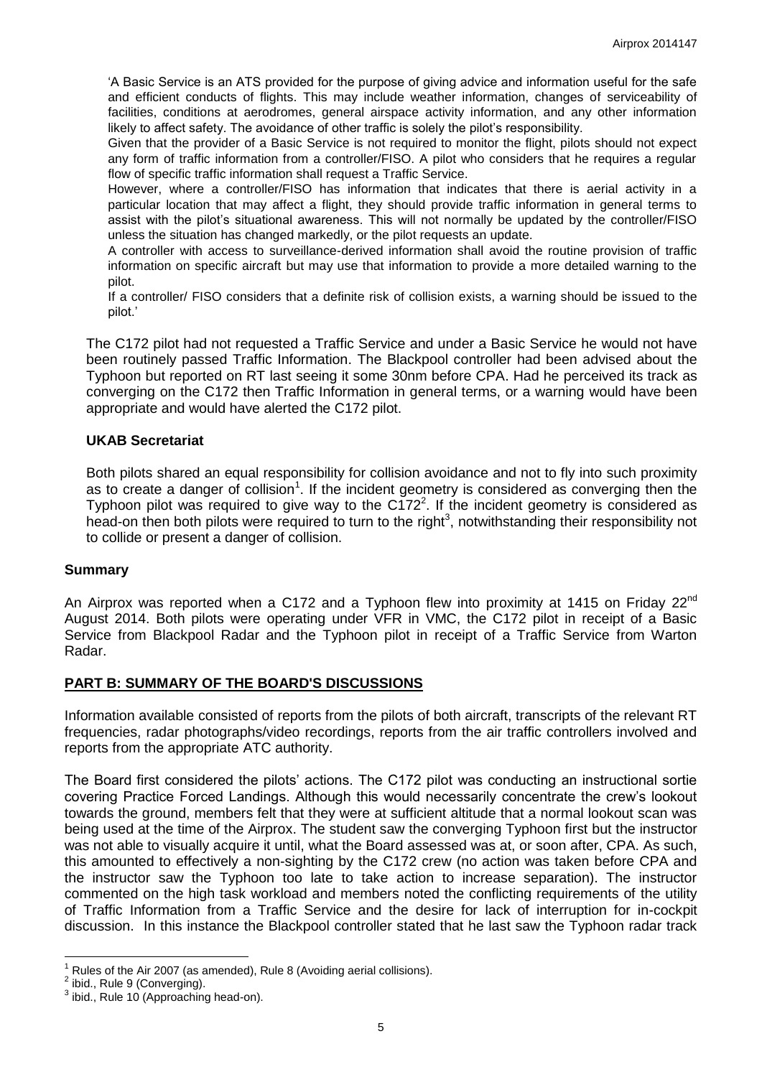'A Basic Service is an ATS provided for the purpose of giving advice and information useful for the safe and efficient conducts of flights. This may include weather information, changes of serviceability of facilities, conditions at aerodromes, general airspace activity information, and any other information likely to affect safety. The avoidance of other traffic is solely the pilot's responsibility.

Given that the provider of a Basic Service is not required to monitor the flight, pilots should not expect any form of traffic information from a controller/FISO. A pilot who considers that he requires a regular flow of specific traffic information shall request a Traffic Service.

However, where a controller/FISO has information that indicates that there is aerial activity in a particular location that may affect a flight, they should provide traffic information in general terms to assist with the pilot's situational awareness. This will not normally be updated by the controller/FISO unless the situation has changed markedly, or the pilot requests an update.

A controller with access to surveillance-derived information shall avoid the routine provision of traffic information on specific aircraft but may use that information to provide a more detailed warning to the pilot.

If a controller/ FISO considers that a definite risk of collision exists, a warning should be issued to the pilot.'

The C172 pilot had not requested a Traffic Service and under a Basic Service he would not have been routinely passed Traffic Information. The Blackpool controller had been advised about the Typhoon but reported on RT last seeing it some 30nm before CPA. Had he perceived its track as converging on the C172 then Traffic Information in general terms, or a warning would have been appropriate and would have alerted the C172 pilot.

### **UKAB Secretariat**

Both pilots shared an equal responsibility for collision avoidance and not to fly into such proximity as to create a danger of collision<sup>1</sup>. If the incident geometry is considered as converging then the Typhoon pilot was required to give way to the  $C172<sup>2</sup>$ . If the incident geometry is considered as head-on then both pilots were required to turn to the right<sup>3</sup>, notwithstanding their responsibility not to collide or present a danger of collision.

#### **Summary**

An Airprox was reported when a C172 and a Typhoon flew into proximity at 1415 on Friday 22<sup>nd</sup> August 2014. Both pilots were operating under VFR in VMC, the C172 pilot in receipt of a Basic Service from Blackpool Radar and the Typhoon pilot in receipt of a Traffic Service from Warton Radar.

# **PART B: SUMMARY OF THE BOARD'S DISCUSSIONS**

Information available consisted of reports from the pilots of both aircraft, transcripts of the relevant RT frequencies, radar photographs/video recordings, reports from the air traffic controllers involved and reports from the appropriate ATC authority.

The Board first considered the pilots' actions. The C172 pilot was conducting an instructional sortie covering Practice Forced Landings. Although this would necessarily concentrate the crew's lookout towards the ground, members felt that they were at sufficient altitude that a normal lookout scan was being used at the time of the Airprox. The student saw the converging Typhoon first but the instructor was not able to visually acquire it until, what the Board assessed was at, or soon after, CPA. As such, this amounted to effectively a non-sighting by the C172 crew (no action was taken before CPA and the instructor saw the Typhoon too late to take action to increase separation). The instructor commented on the high task workload and members noted the conflicting requirements of the utility of Traffic Information from a Traffic Service and the desire for lack of interruption for in-cockpit discussion. In this instance the Blackpool controller stated that he last saw the Typhoon radar track

 $\overline{a}$ 1 Rules of the Air 2007 (as amended), Rule 8 (Avoiding aerial collisions).

 $2$  ibid., Rule 9 (Converging).

 $3$  ibid., Rule 10 (Approaching head-on).